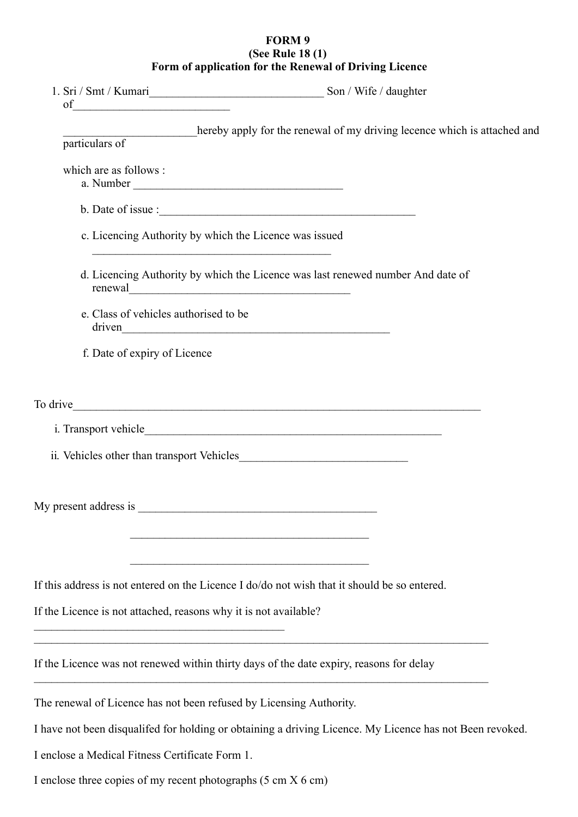## **FORM 9 (See Rule 18 (1) Form of application for the Renewal of Driving Licence**

|                                                                                                                                                                                                                                | hereby apply for the renewal of my driving lecence which is attached and                                             |
|--------------------------------------------------------------------------------------------------------------------------------------------------------------------------------------------------------------------------------|----------------------------------------------------------------------------------------------------------------------|
| particulars of                                                                                                                                                                                                                 |                                                                                                                      |
| which are as follows :                                                                                                                                                                                                         |                                                                                                                      |
| b. Date of issue :                                                                                                                                                                                                             |                                                                                                                      |
| c. Licencing Authority by which the Licence was issued<br><u> 1989 - Johann John Stein, marwolaethau (b. 1989)</u>                                                                                                             |                                                                                                                      |
|                                                                                                                                                                                                                                | d. Licencing Authority by which the Licence was last renewed number And date of                                      |
| e. Class of vehicles authorised to be                                                                                                                                                                                          |                                                                                                                      |
| f. Date of expiry of Licence                                                                                                                                                                                                   |                                                                                                                      |
| To drive the contract of the contract of the contract of the contract of the contract of the contract of the contract of the contract of the contract of the contract of the contract of the contract of the contract of the c |                                                                                                                      |
|                                                                                                                                                                                                                                |                                                                                                                      |
|                                                                                                                                                                                                                                |                                                                                                                      |
| My present address is                                                                                                                                                                                                          |                                                                                                                      |
| If this address is not entered on the Licence I do/do not wish that it should be so entered.                                                                                                                                   | <u> 1989 - Jan Barat, margaret amerikan basa dalam pengaran pengaran pengaran pengaran pengaran pengaran pengara</u> |
| If the Licence is not attached, reasons why it is not available?<br><u> 1989 - Johann Stoff, deutscher Stoffen und der Stoffen und der Stoffen und der Stoffen und der Stoffen und der</u>                                     |                                                                                                                      |
| <u> 1989 - Johann John Stone, mars eta bat eta bat eta bat eta bat eta bat eta bat eta bat eta bat eta bat eta b</u><br>If the Licence was not renewed within thirty days of the date expiry, reasons for delay                |                                                                                                                      |
| The renewal of Licence has not been refused by Licensing Authority.                                                                                                                                                            |                                                                                                                      |
|                                                                                                                                                                                                                                | I have not been disqualifed for holding or obtaining a driving Licence. My Licence has not Been revoked.             |
| I enclose a Medical Fitness Certificate Form 1.                                                                                                                                                                                |                                                                                                                      |
| I enclose three copies of my recent photographs (5 cm X 6 cm)                                                                                                                                                                  |                                                                                                                      |